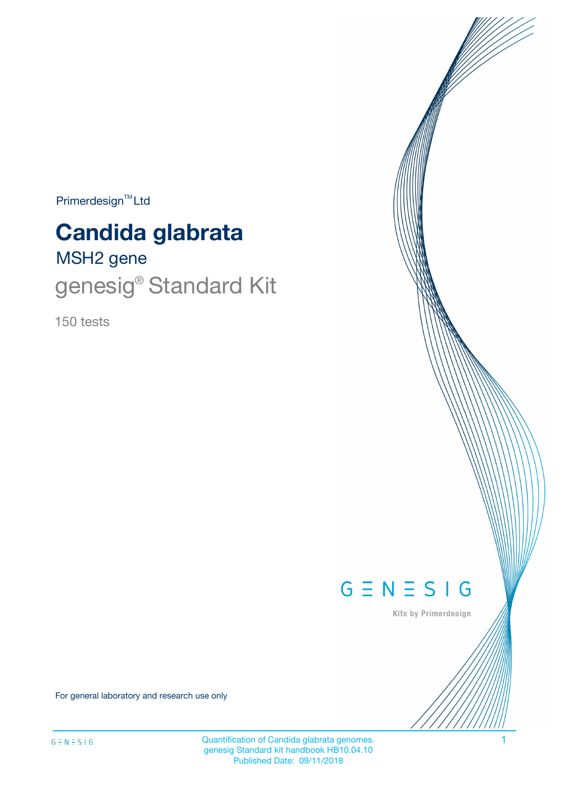$Primerdesign^{\text{TM}}Ltd$ 

# **Candida glabrata**

# MSH2 gene genesig® Standard Kit

150 tests



Kits by Primerdesign

For general laboratory and research use only

Quantification of Candida glabrata genomes.<br>
1 genesig Standard kit handbook HB10.04.10 Published Date: 09/11/2018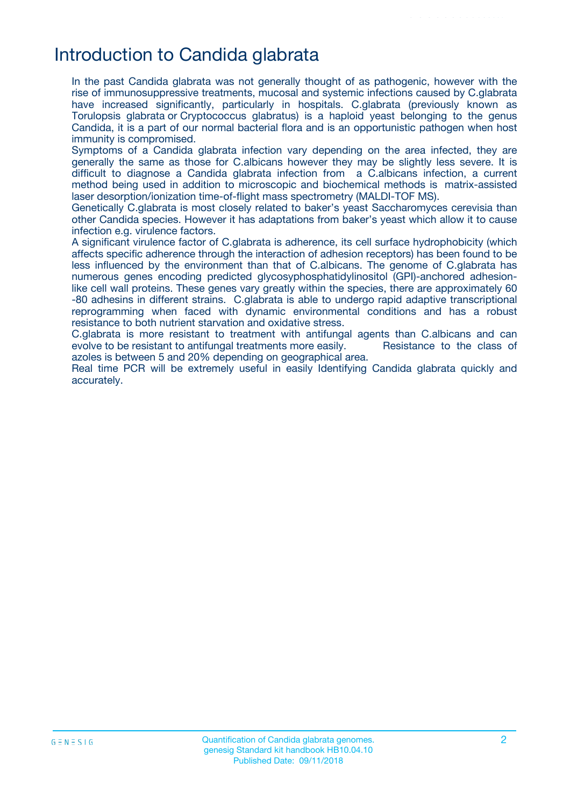## Introduction to Candida glabrata

In the past Candida glabrata was not generally thought of as pathogenic, however with the rise of immunosuppressive treatments, mucosal and systemic infections caused by C.glabrata have increased significantly, particularly in hospitals. C.glabrata (previously known as Torulopsis glabrata or Cryptococcus glabratus) is a haploid yeast belonging to the genus Candida, it is a part of our normal bacterial flora and is an opportunistic pathogen when host immunity is compromised.

Symptoms of a Candida glabrata infection vary depending on the area infected, they are generally the same as those for C.albicans however they may be slightly less severe. It is difficult to diagnose a Candida glabrata infection from a C.albicans infection, a current method being used in addition to microscopic and biochemical methods is matrix-assisted laser desorption/ionization time-of-flight mass spectrometry (MALDI-TOF MS).

Genetically C.glabrata is most closely related to baker's yeast Saccharomyces cerevisia than other Candida species. However it has adaptations from baker's yeast which allow it to cause infection e.g. virulence factors.

A significant virulence factor of C.glabrata is adherence, its cell surface hydrophobicity (which affects specific adherence through the interaction of adhesion receptors) has been found to be less influenced by the environment than that of C.albicans. The genome of C.glabrata has numerous genes encoding predicted glycosyphosphatidylinositol (GPI)-anchored adhesionlike cell wall proteins. These genes vary greatly within the species, there are approximately 60 -80 adhesins in different strains. C.glabrata is able to undergo rapid adaptive transcriptional reprogramming when faced with dynamic environmental conditions and has a robust resistance to both nutrient starvation and oxidative stress.

C.glabrata is more resistant to treatment with antifungal agents than C.albicans and can evolve to be resistant to antifungal treatments more easily. Resistance to the class of azoles is between 5 and 20% depending on geographical area.

Real time PCR will be extremely useful in easily Identifying Candida glabrata quickly and accurately.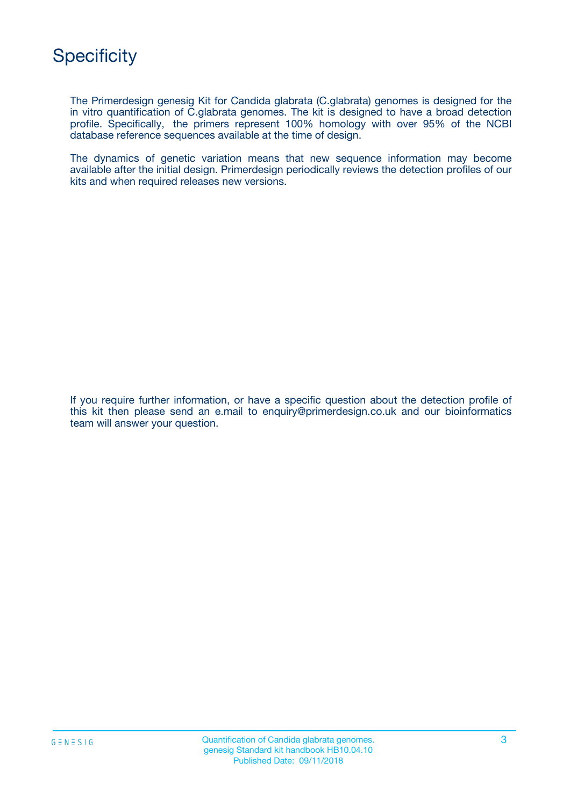The Primerdesign genesig Kit for Candida glabrata (C.glabrata) genomes is designed for the in vitro quantification of C.glabrata genomes. The kit is designed to have a broad detection profile. Specifically, the primers represent 100% homology with over 95% of the NCBI database reference sequences available at the time of design.

The dynamics of genetic variation means that new sequence information may become available after the initial design. Primerdesign periodically reviews the detection profiles of our kits and when required releases new versions.

If you require further information, or have a specific question about the detection profile of this kit then please send an e.mail to enquiry@primerdesign.co.uk and our bioinformatics team will answer your question.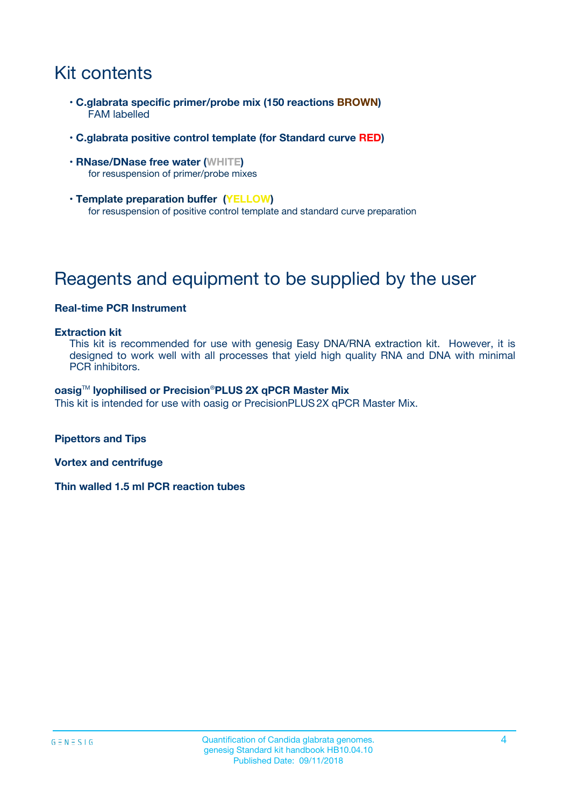# Kit contents

- **C.glabrata specific primer/probe mix (150 reactions BROWN)** FAM labelled
- **C.glabrata positive control template (for Standard curve RED)**
- **RNase/DNase free water (WHITE)** for resuspension of primer/probe mixes
- **Template preparation buffer (YELLOW)** for resuspension of positive control template and standard curve preparation

# Reagents and equipment to be supplied by the user

#### **Real-time PCR Instrument**

#### **Extraction kit**

This kit is recommended for use with genesig Easy DNA/RNA extraction kit. However, it is designed to work well with all processes that yield high quality RNA and DNA with minimal PCR inhibitors.

#### **oasig**TM **lyophilised or Precision**®**PLUS 2X qPCR Master Mix**

This kit is intended for use with oasig or PrecisionPLUS2X qPCR Master Mix.

**Pipettors and Tips**

**Vortex and centrifuge**

**Thin walled 1.5 ml PCR reaction tubes**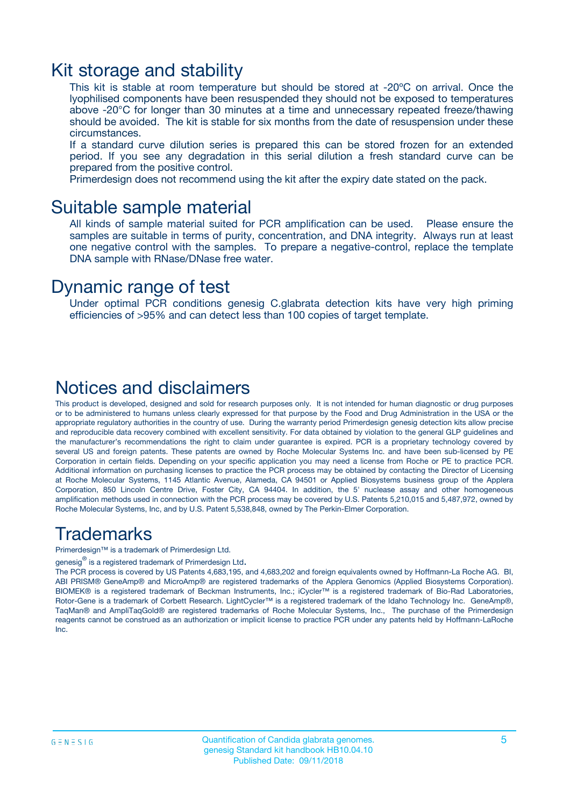### Kit storage and stability

This kit is stable at room temperature but should be stored at -20ºC on arrival. Once the lyophilised components have been resuspended they should not be exposed to temperatures above -20°C for longer than 30 minutes at a time and unnecessary repeated freeze/thawing should be avoided. The kit is stable for six months from the date of resuspension under these circumstances.

If a standard curve dilution series is prepared this can be stored frozen for an extended period. If you see any degradation in this serial dilution a fresh standard curve can be prepared from the positive control.

Primerdesign does not recommend using the kit after the expiry date stated on the pack.

### Suitable sample material

All kinds of sample material suited for PCR amplification can be used. Please ensure the samples are suitable in terms of purity, concentration, and DNA integrity. Always run at least one negative control with the samples. To prepare a negative-control, replace the template DNA sample with RNase/DNase free water.

### Dynamic range of test

Under optimal PCR conditions genesig C.glabrata detection kits have very high priming efficiencies of >95% and can detect less than 100 copies of target template.

### Notices and disclaimers

This product is developed, designed and sold for research purposes only. It is not intended for human diagnostic or drug purposes or to be administered to humans unless clearly expressed for that purpose by the Food and Drug Administration in the USA or the appropriate regulatory authorities in the country of use. During the warranty period Primerdesign genesig detection kits allow precise and reproducible data recovery combined with excellent sensitivity. For data obtained by violation to the general GLP guidelines and the manufacturer's recommendations the right to claim under guarantee is expired. PCR is a proprietary technology covered by several US and foreign patents. These patents are owned by Roche Molecular Systems Inc. and have been sub-licensed by PE Corporation in certain fields. Depending on your specific application you may need a license from Roche or PE to practice PCR. Additional information on purchasing licenses to practice the PCR process may be obtained by contacting the Director of Licensing at Roche Molecular Systems, 1145 Atlantic Avenue, Alameda, CA 94501 or Applied Biosystems business group of the Applera Corporation, 850 Lincoln Centre Drive, Foster City, CA 94404. In addition, the 5' nuclease assay and other homogeneous amplification methods used in connection with the PCR process may be covered by U.S. Patents 5,210,015 and 5,487,972, owned by Roche Molecular Systems, Inc, and by U.S. Patent 5,538,848, owned by The Perkin-Elmer Corporation.

### Trademarks

Primerdesign™ is a trademark of Primerdesign Ltd.

genesig $^\circledR$  is a registered trademark of Primerdesign Ltd.

The PCR process is covered by US Patents 4,683,195, and 4,683,202 and foreign equivalents owned by Hoffmann-La Roche AG. BI, ABI PRISM® GeneAmp® and MicroAmp® are registered trademarks of the Applera Genomics (Applied Biosystems Corporation). BIOMEK® is a registered trademark of Beckman Instruments, Inc.; iCycler™ is a registered trademark of Bio-Rad Laboratories, Rotor-Gene is a trademark of Corbett Research. LightCycler™ is a registered trademark of the Idaho Technology Inc. GeneAmp®, TaqMan® and AmpliTaqGold® are registered trademarks of Roche Molecular Systems, Inc., The purchase of the Primerdesign reagents cannot be construed as an authorization or implicit license to practice PCR under any patents held by Hoffmann-LaRoche Inc.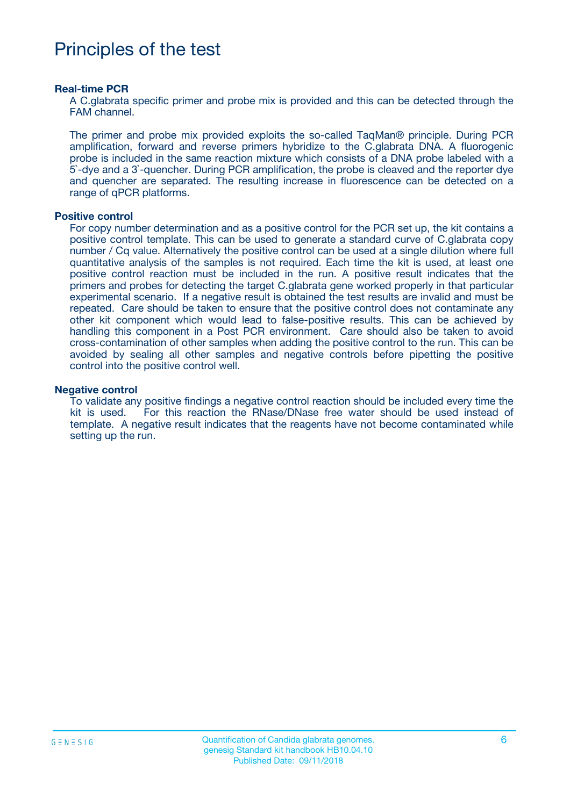### Principles of the test

#### **Real-time PCR**

A C.glabrata specific primer and probe mix is provided and this can be detected through the FAM channel.

The primer and probe mix provided exploits the so-called TaqMan® principle. During PCR amplification, forward and reverse primers hybridize to the C.glabrata DNA. A fluorogenic probe is included in the same reaction mixture which consists of a DNA probe labeled with a 5`-dye and a 3`-quencher. During PCR amplification, the probe is cleaved and the reporter dye and quencher are separated. The resulting increase in fluorescence can be detected on a range of qPCR platforms.

#### **Positive control**

For copy number determination and as a positive control for the PCR set up, the kit contains a positive control template. This can be used to generate a standard curve of C.glabrata copy number / Cq value. Alternatively the positive control can be used at a single dilution where full quantitative analysis of the samples is not required. Each time the kit is used, at least one positive control reaction must be included in the run. A positive result indicates that the primers and probes for detecting the target C.glabrata gene worked properly in that particular experimental scenario. If a negative result is obtained the test results are invalid and must be repeated. Care should be taken to ensure that the positive control does not contaminate any other kit component which would lead to false-positive results. This can be achieved by handling this component in a Post PCR environment. Care should also be taken to avoid cross-contamination of other samples when adding the positive control to the run. This can be avoided by sealing all other samples and negative controls before pipetting the positive control into the positive control well.

#### **Negative control**

To validate any positive findings a negative control reaction should be included every time the kit is used. For this reaction the RNase/DNase free water should be used instead of template. A negative result indicates that the reagents have not become contaminated while setting up the run.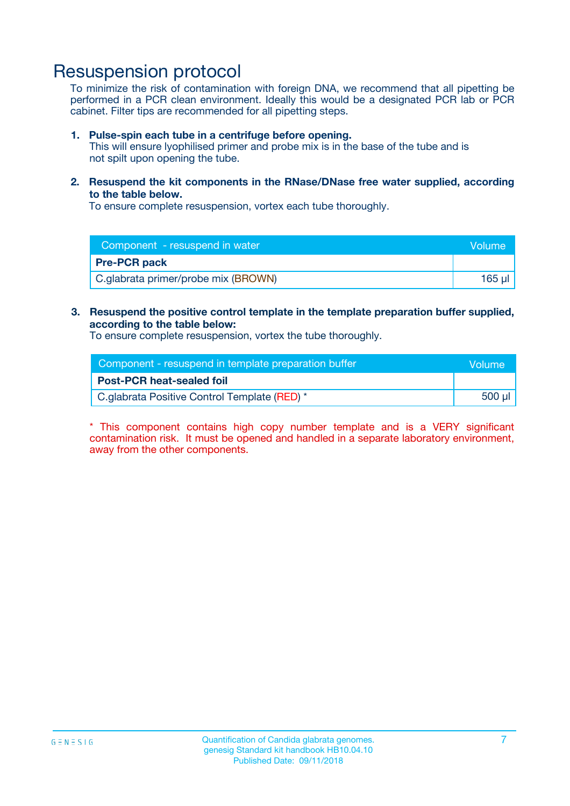### Resuspension protocol

To minimize the risk of contamination with foreign DNA, we recommend that all pipetting be performed in a PCR clean environment. Ideally this would be a designated PCR lab or PCR cabinet. Filter tips are recommended for all pipetting steps.

#### **1. Pulse-spin each tube in a centrifuge before opening.**

This will ensure lyophilised primer and probe mix is in the base of the tube and is not spilt upon opening the tube.

**2. Resuspend the kit components in the RNase/DNase free water supplied, according to the table below.**

To ensure complete resuspension, vortex each tube thoroughly.

| Component - resuspend in water      | Volume: |
|-------------------------------------|---------|
| <b>Pre-PCR pack</b>                 |         |
| C.glabrata primer/probe mix (BROWN) | 165 ul  |

#### **3. Resuspend the positive control template in the template preparation buffer supplied, according to the table below:**

To ensure complete resuspension, vortex the tube thoroughly.

| Component - resuspend in template preparation buffer |        |  |
|------------------------------------------------------|--------|--|
| <b>Post-PCR heat-sealed foil</b>                     |        |  |
| C.glabrata Positive Control Template (RED) *         | 500 µl |  |

\* This component contains high copy number template and is a VERY significant contamination risk. It must be opened and handled in a separate laboratory environment, away from the other components.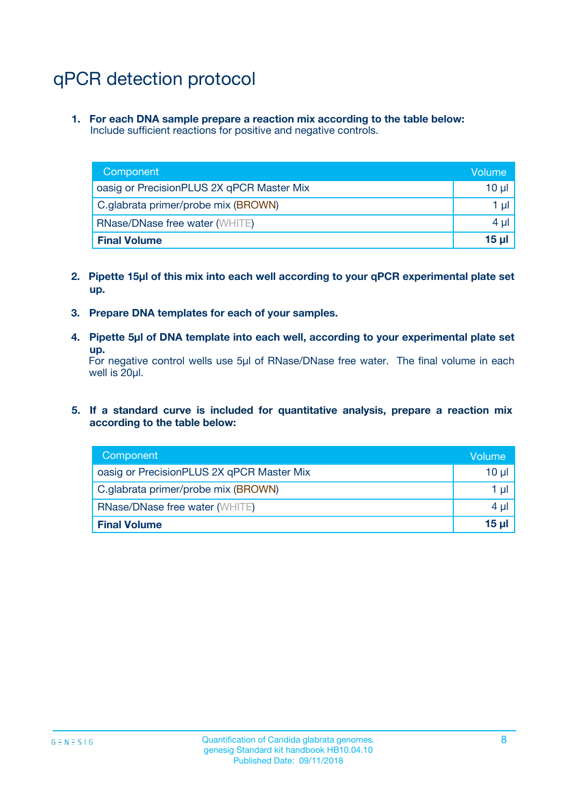# qPCR detection protocol

**1. For each DNA sample prepare a reaction mix according to the table below:** Include sufficient reactions for positive and negative controls.

| Component                                 | Volume           |
|-------------------------------------------|------------------|
| oasig or PrecisionPLUS 2X qPCR Master Mix | 10 $\mu$         |
| C.glabrata primer/probe mix (BROWN)       | 1 $\mu$          |
| <b>RNase/DNase free water (WHITE)</b>     | $4 \mu$          |
| <b>Final Volume</b>                       | 15 <sub>ul</sub> |

- **2. Pipette 15µl of this mix into each well according to your qPCR experimental plate set up.**
- **3. Prepare DNA templates for each of your samples.**
- **4. Pipette 5µl of DNA template into each well, according to your experimental plate set up.**

For negative control wells use 5µl of RNase/DNase free water. The final volume in each well is 20µl.

**5. If a standard curve is included for quantitative analysis, prepare a reaction mix according to the table below:**

| Component                                 | Volume          |
|-------------------------------------------|-----------------|
| oasig or PrecisionPLUS 2X qPCR Master Mix | 10 µl           |
| C.glabrata primer/probe mix (BROWN)       | 1 µI            |
| <b>RNase/DNase free water (WHITE)</b>     | $4 \mu$         |
| <b>Final Volume</b>                       | 15 <sub>µ</sub> |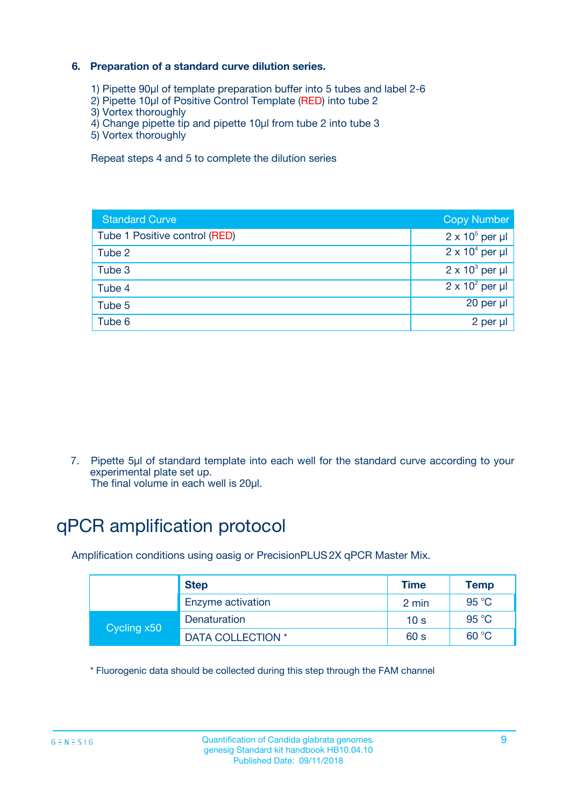### **6. Preparation of a standard curve dilution series.**

- 1) Pipette 90µl of template preparation buffer into 5 tubes and label 2-6
- 2) Pipette 10µl of Positive Control Template (RED) into tube 2
- 3) Vortex thoroughly
- 4) Change pipette tip and pipette 10µl from tube 2 into tube 3
- 5) Vortex thoroughly

Repeat steps 4 and 5 to complete the dilution series

| <b>Standard Curve</b>         | <b>Copy Number</b>     |
|-------------------------------|------------------------|
| Tube 1 Positive control (RED) | $2 \times 10^5$ per µl |
| Tube 2                        | $2 \times 10^4$ per µl |
| Tube 3                        | $2 \times 10^3$ per µl |
| Tube 4                        | $2 \times 10^2$ per µl |
| Tube 5                        | 20 per µl              |
| Tube 6                        | 2 per ul               |

7. Pipette 5µl of standard template into each well for the standard curve according to your experimental plate set up.

The final volume in each well is 20µl.

# qPCR amplification protocol

Amplification conditions using oasig or PrecisionPLUS2X qPCR Master Mix.

|             | <b>Step</b>       | <b>Time</b>     | Temp    |
|-------------|-------------------|-----------------|---------|
|             | Enzyme activation | 2 min           | 95 °C   |
| Cycling x50 | Denaturation      | 10 <sub>s</sub> | 95 $°C$ |
|             | DATA COLLECTION * | 60 s            | 60 °C   |

\* Fluorogenic data should be collected during this step through the FAM channel